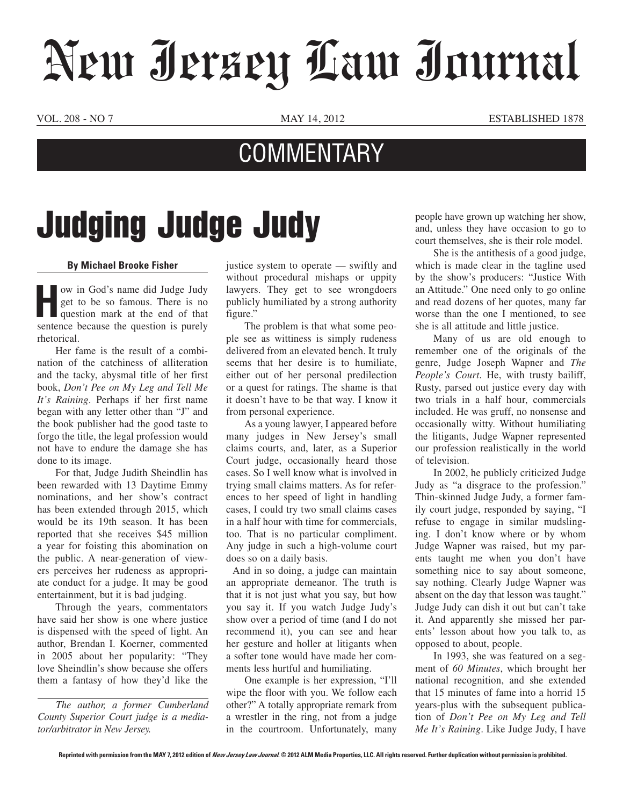## New Jersey Law Journal

VOL. 208 - NO 7 MAY 14, 2012 ESTABLISHED 1878

## **COMMENTARY**

## Judging Judge Judy

## **By Michael Brooke Fisher**

**How in God's name did Judge Judy** get to be so famous. There is no question mark at the end of that sentence because the question is purely rhetorical.

Her fame is the result of a combination of the catchiness of alliteration and the tacky, abysmal title of her first book, *Don't Pee on My Leg and Tell Me It's Raining*. Perhaps if her first name began with any letter other than "J" and the book publisher had the good taste to forgo the title, the legal profession would not have to endure the damage she has done to its image.

For that, Judge Judith Sheindlin has been rewarded with 13 Daytime Emmy nominations, and her show's contract has been extended through 2015, which would be its 19th season. It has been reported that she receives \$45 million a year for foisting this abomination on the public. A near-generation of viewers perceives her rudeness as appropriate conduct for a judge. It may be good entertainment, but it is bad judging.

Through the years, commentators have said her show is one where justice is dispensed with the speed of light. An author, Brendan I. Koerner, commented in 2005 about her popularity: "They love Sheindlin's show because she offers them a fantasy of how they'd like the

*The author, a former Cumberland County Superior Court judge is a mediator/arbitrator in New Jersey.*

justice system to operate — swiftly and without procedural mishaps or uppity lawyers. They get to see wrongdoers publicly humiliated by a strong authority figure."

The problem is that what some people see as wittiness is simply rudeness delivered from an elevated bench. It truly seems that her desire is to humiliate, either out of her personal predilection or a quest for ratings. The shame is that it doesn't have to be that way. I know it from personal experience.

As a young lawyer, I appeared before many judges in New Jersey's small claims courts, and, later, as a Superior Court judge, occasionally heard those cases. So I well know what is involved in trying small claims matters. As for references to her speed of light in handling cases, I could try two small claims cases in a half hour with time for commercials, too. That is no particular compliment. Any judge in such a high-volume court does so on a daily basis.

 And in so doing, a judge can maintain an appropriate demeanor. The truth is that it is not just what you say, but how you say it. If you watch Judge Judy's show over a period of time (and I do not recommend it), you can see and hear her gesture and holler at litigants when a softer tone would have made her comments less hurtful and humiliating.

One example is her expression, "I'll wipe the floor with you. We follow each other?" A totally appropriate remark from a wrestler in the ring, not from a judge in the courtroom. Unfortunately, many people have grown up watching her show, and, unless they have occasion to go to court themselves, she is their role model.

She is the antithesis of a good judge, which is made clear in the tagline used by the show's producers: "Justice With an Attitude." One need only to go online and read dozens of her quotes, many far worse than the one I mentioned, to see she is all attitude and little justice.

Many of us are old enough to remember one of the originals of the genre, Judge Joseph Wapner and *The People's Court*. He, with trusty bailiff, Rusty, parsed out justice every day with two trials in a half hour, commercials included. He was gruff, no nonsense and occasionally witty. Without humiliating the litigants, Judge Wapner represented our profession realistically in the world of television.

In 2002, he publicly criticized Judge Judy as "a disgrace to the profession." Thin-skinned Judge Judy, a former family court judge, responded by saying, "I refuse to engage in similar mudslinging. I don't know where or by whom Judge Wapner was raised, but my parents taught me when you don't have something nice to say about someone, say nothing. Clearly Judge Wapner was absent on the day that lesson was taught." Judge Judy can dish it out but can't take it. And apparently she missed her parents' lesson about how you talk to, as opposed to about, people.

In 1993, she was featured on a segment of *60 Minutes*, which brought her national recognition, and she extended that 15 minutes of fame into a horrid 15 years-plus with the subsequent publication of *Don't Pee on My Leg and Tell Me It's Raining*. Like Judge Judy, I have